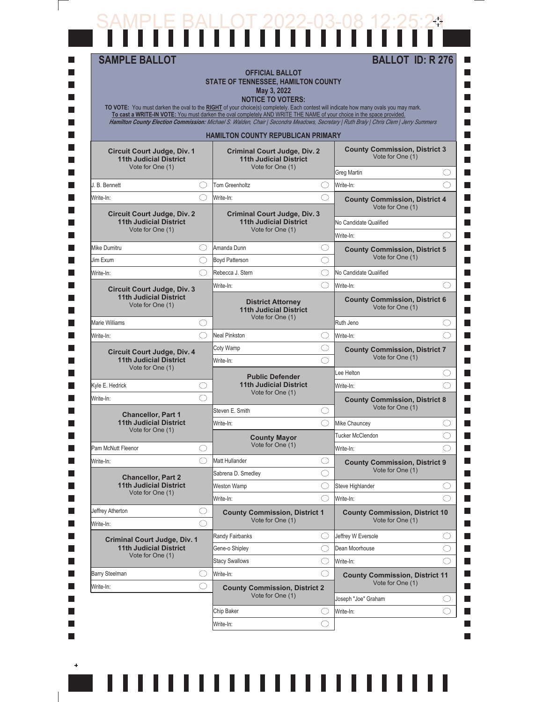## SAMPLE BALLOT 2022-03-08 12:25:24

 $\overline{\phantom{a}}$ 

 $\pm$ 

 $\overline{\phantom{a}}$ 

 $\overline{\phantom{a}}$ 

| <b>SAMPLE BALLOT</b>                                                                    |            | <b>OFFICIAL BALLOT</b><br><b>STATE OF TENNESSEE, HAMILTON COUNTY</b><br>May 3, 2022<br><b>NOTICE TO VOTERS:</b><br>TO VOTE: You must darken the oval to the RIGHT of your choice(s) completely. Each contest will indicate how many ovals you may mark.<br>To cast a WRITE-IN VOTE: You must darken the oval completely AND WRITE THE NAME of your choice in the space provided.<br>Hamilton County Election Commission: Michael S. Walden, Chair   Secondra Meadows, Secretary   Ruth Braly   Chris Clem   Jerry Summers |            | <b>BALLOT ID: R 276</b>                                                    |        |
|-----------------------------------------------------------------------------------------|------------|---------------------------------------------------------------------------------------------------------------------------------------------------------------------------------------------------------------------------------------------------------------------------------------------------------------------------------------------------------------------------------------------------------------------------------------------------------------------------------------------------------------------------|------------|----------------------------------------------------------------------------|--------|
|                                                                                         |            | <b>HAMILTON COUNTY REPUBLICAN PRIMARY</b>                                                                                                                                                                                                                                                                                                                                                                                                                                                                                 |            |                                                                            |        |
| Circuit Court Judge, Div. 1<br><b>11th Judicial District</b><br>Vote for One (1)        |            | <b>Criminal Court Judge, Div. 2</b><br><b>11th Judicial District</b><br>Vote for One (1)                                                                                                                                                                                                                                                                                                                                                                                                                                  |            | <b>County Commission, District 3</b><br>Vote for One (1)                   |        |
| J. B. Bennett                                                                           | ( )        | Tom Greenholtz                                                                                                                                                                                                                                                                                                                                                                                                                                                                                                            |            | Greg Martin<br>Write-In:                                                   | O<br>⌒ |
| Write-In:                                                                               | ⌒          |                                                                                                                                                                                                                                                                                                                                                                                                                                                                                                                           | ( )<br>◯   |                                                                            |        |
| <b>Circuit Court Judge, Div. 2</b><br><b>11th Judicial District</b><br>Vote for One (1) |            | Write-In:<br><b>Criminal Court Judge, Div. 3</b><br><b>11th Judicial District</b><br>Vote for One (1)                                                                                                                                                                                                                                                                                                                                                                                                                     |            | <b>County Commission, District 4</b><br>Vote for One (1)                   |        |
|                                                                                         |            |                                                                                                                                                                                                                                                                                                                                                                                                                                                                                                                           |            | No Candidate Qualified                                                     |        |
|                                                                                         |            |                                                                                                                                                                                                                                                                                                                                                                                                                                                                                                                           |            | Write-In:                                                                  | ⌒      |
| Mike Dumitru                                                                            | ()         | Amanda Dunn                                                                                                                                                                                                                                                                                                                                                                                                                                                                                                               | O          | <b>County Commission, District 5</b><br>Vote for One (1)                   |        |
| Jim Exum                                                                                | ◯          | <b>Boyd Patterson</b>                                                                                                                                                                                                                                                                                                                                                                                                                                                                                                     | ◯          |                                                                            |        |
| Write-In:                                                                               |            | Rebecca J. Stern                                                                                                                                                                                                                                                                                                                                                                                                                                                                                                          | ◯          | No Candidate Qualified                                                     |        |
| <b>Circuit Court Judge, Div. 3</b><br><b>11th Judicial District</b><br>Vote for One (1) |            | Write-In:<br><b>District Attorney</b><br><b>11th Judicial District</b>                                                                                                                                                                                                                                                                                                                                                                                                                                                    | ⌒          | Write-In:<br>⌒<br><b>County Commission, District 6</b><br>Vote for One (1) |        |
| <b>Marie Williams</b>                                                                   | ( )        | Vote for One (1)                                                                                                                                                                                                                                                                                                                                                                                                                                                                                                          |            | Ruth Jeno                                                                  | O      |
| Write-In:                                                                               | ⌒          | Neal Pinkston                                                                                                                                                                                                                                                                                                                                                                                                                                                                                                             | O          | Write-In:                                                                  | ⌒      |
| <b>Circuit Court Judge, Div. 4</b>                                                      |            | Coty Wamp                                                                                                                                                                                                                                                                                                                                                                                                                                                                                                                 | ◯          | <b>County Commission, District 7</b>                                       |        |
| <b>11th Judicial District</b><br>Vote for One (1)                                       |            | Write-In:                                                                                                                                                                                                                                                                                                                                                                                                                                                                                                                 | ⌒          | Vote for One (1)                                                           |        |
|                                                                                         |            | <b>Public Defender</b>                                                                                                                                                                                                                                                                                                                                                                                                                                                                                                    |            | Lee Helton                                                                 | O      |
| Kyle E. Hedrick                                                                         | ◯          | <b>11th Judicial District</b><br>Vote for One (1)                                                                                                                                                                                                                                                                                                                                                                                                                                                                         |            | Write-In:                                                                  |        |
| Write-In:                                                                               |            |                                                                                                                                                                                                                                                                                                                                                                                                                                                                                                                           |            | <b>County Commission, District 8</b>                                       |        |
| <b>Chancellor, Part 1</b>                                                               |            | Steven E. Smith                                                                                                                                                                                                                                                                                                                                                                                                                                                                                                           | O          | Vote for One (1)                                                           |        |
| <b>11th Judicial District</b><br>Vote for One (1)                                       |            | Write-In:                                                                                                                                                                                                                                                                                                                                                                                                                                                                                                                 | ⌒          | Mike Chauncev                                                              |        |
|                                                                                         |            | <b>County Mayor</b><br>Vote for One (1)                                                                                                                                                                                                                                                                                                                                                                                                                                                                                   |            | Tucker McClendon                                                           |        |
| Pam McNutt Fleenor                                                                      |            |                                                                                                                                                                                                                                                                                                                                                                                                                                                                                                                           |            | Write-In:                                                                  | ( )    |
| Write-In:                                                                               |            | Matt Hullander                                                                                                                                                                                                                                                                                                                                                                                                                                                                                                            | O          | <b>County Commission, District 9</b><br>Vote for One (1)                   |        |
| <b>Chancellor, Part 2</b><br><b>11th Judicial District</b>                              |            | Sabrena D. Smedley                                                                                                                                                                                                                                                                                                                                                                                                                                                                                                        | $\bigcirc$ |                                                                            |        |
| Vote for One (1)                                                                        |            | Weston Wamp                                                                                                                                                                                                                                                                                                                                                                                                                                                                                                               | O          | Steve Highlander                                                           | ⌒      |
| Jeffrey Atherton                                                                        | $\bigcirc$ | Write-In:                                                                                                                                                                                                                                                                                                                                                                                                                                                                                                                 | O          | Write-In:                                                                  |        |
| Write-In:                                                                               | ⌒          | <b>County Commission, District 1</b><br>Vote for One (1)                                                                                                                                                                                                                                                                                                                                                                                                                                                                  |            | <b>County Commission, District 10</b><br>Vote for One (1)                  |        |
|                                                                                         |            | Randy Fairbanks                                                                                                                                                                                                                                                                                                                                                                                                                                                                                                           | ( )        | Jeffrey W Eversole                                                         | O      |
| <b>Criminal Court Judge, Div. 1</b><br><b>11th Judicial District</b>                    |            | Gene-o Shipley                                                                                                                                                                                                                                                                                                                                                                                                                                                                                                            | ◯          | Dean Moorhouse                                                             | O      |
| Vote for One (1)                                                                        |            | <b>Stacy Swallows</b>                                                                                                                                                                                                                                                                                                                                                                                                                                                                                                     | ◯          | Write-In:                                                                  | ⌒      |
| <b>Barry Steelman</b>                                                                   | O          | Write-In:                                                                                                                                                                                                                                                                                                                                                                                                                                                                                                                 | O          | <b>County Commission, District 11</b>                                      |        |
| Write-In:                                                                               | ◯          | <b>County Commission, District 2</b>                                                                                                                                                                                                                                                                                                                                                                                                                                                                                      |            | Vote for One (1)                                                           |        |
|                                                                                         |            | Vote for One (1)                                                                                                                                                                                                                                                                                                                                                                                                                                                                                                          |            | Joseph "Joe" Graham                                                        | O      |
|                                                                                         |            | Chip Baker                                                                                                                                                                                                                                                                                                                                                                                                                                                                                                                | O          | Write-In:                                                                  | ⌒      |
|                                                                                         |            |                                                                                                                                                                                                                                                                                                                                                                                                                                                                                                                           |            |                                                                            |        |

,,,,,,,,,,,,,,,,,,,,,,